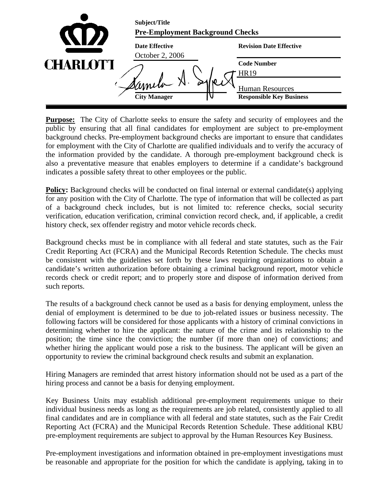|                 | Subject/Title<br><b>Pre-Employment Background Checks</b> |                                                           |  |  |
|-----------------|----------------------------------------------------------|-----------------------------------------------------------|--|--|
|                 | <b>Date Effective</b><br>October 2, 2006                 | <b>Revision Date Effective</b>                            |  |  |
| <b>CHARLOTT</b> |                                                          | <b>Code Number</b><br><b>HR19</b>                         |  |  |
|                 | Samela X.<br><b>City Manager</b>                         | <b>Human Resources</b><br><b>Responsible Key Business</b> |  |  |

**Purpose:** The City of Charlotte seeks to ensure the safety and security of employees and the public by ensuring that all final candidates for employment are subject to pre-employment background checks. Pre-employment background checks are important to ensure that candidates for employment with the City of Charlotte are qualified individuals and to verify the accuracy of the information provided by the candidate. A thorough pre-employment background check is also a preventative measure that enables employers to determine if a candidate's background indicates a possible safety threat to other employees or the public.

**Policy:** Background checks will be conducted on final internal or external candidate(s) applying for any position with the City of Charlotte. The type of information that will be collected as part of a background check includes, but is not limited to: reference checks, social security verification, education verification, criminal conviction record check, and, if applicable, a credit history check, sex offender registry and motor vehicle records check.

Background checks must be in compliance with all federal and state statutes, such as the Fair Credit Reporting Act (FCRA) and the Municipal Records Retention Schedule. The checks must be consistent with the guidelines set forth by these laws requiring organizations to obtain a candidate's written authorization before obtaining a criminal background report, motor vehicle records check or credit report; and to properly store and dispose of information derived from such reports.

The results of a background check cannot be used as a basis for denying employment, unless the denial of employment is determined to be due to job-related issues or business necessity. The following factors will be considered for those applicants with a history of criminal convictions in determining whether to hire the applicant: the nature of the crime and its relationship to the position; the time since the conviction; the number (if more than one) of convictions; and whether hiring the applicant would pose a risk to the business. The applicant will be given an opportunity to review the criminal background check results and submit an explanation.

Hiring Managers are reminded that arrest history information should not be used as a part of the hiring process and cannot be a basis for denying employment.

Key Business Units may establish additional pre-employment requirements unique to their individual business needs as long as the requirements are job related, consistently applied to all final candidates and are in compliance with all federal and state statutes, such as the Fair Credit Reporting Act (FCRA) and the Municipal Records Retention Schedule. These additional KBU pre-employment requirements are subject to approval by the Human Resources Key Business.

Pre-employment investigations and information obtained in pre-employment investigations must be reasonable and appropriate for the position for which the candidate is applying, taking in to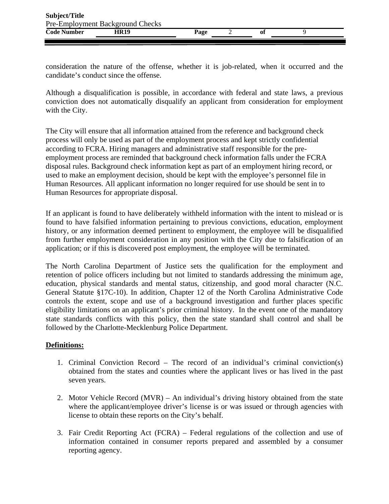| Subject/Title      |                                         |      |  |  |
|--------------------|-----------------------------------------|------|--|--|
|                    | <b>Pre-Employment Background Checks</b> |      |  |  |
| <b>Code Number</b> | <b>HR19</b>                             | Page |  |  |
|                    |                                         |      |  |  |

consideration the nature of the offense, whether it is job-related, when it occurred and the candidate's conduct since the offense.

Although a disqualification is possible, in accordance with federal and state laws, a previous conviction does not automatically disqualify an applicant from consideration for employment with the City.

The City will ensure that all information attained from the reference and background check process will only be used as part of the employment process and kept strictly confidential according to FCRA. Hiring managers and administrative staff responsible for the preemployment process are reminded that background check information falls under the FCRA disposal rules. Background check information kept as part of an employment hiring record, or used to make an employment decision, should be kept with the employee's personnel file in Human Resources. All applicant information no longer required for use should be sent in to Human Resources for appropriate disposal.

If an applicant is found to have deliberately withheld information with the intent to mislead or is found to have falsified information pertaining to previous convictions, education, employment history, or any information deemed pertinent to employment, the employee will be disqualified from further employment consideration in any position with the City due to falsification of an application; or if this is discovered post employment, the employee will be terminated.

The North Carolina Department of Justice sets the qualification for the employment and retention of police officers including but not limited to standards addressing the minimum age, education, physical standards and mental status, citizenship, and good moral character (N.C. General Statute §17C-10). In addition, Chapter 12 of the North Carolina Administrative Code controls the extent, scope and use of a background investigation and further places specific eligibility limitations on an applicant's prior criminal history. In the event one of the mandatory state standards conflicts with this policy, then the state standard shall control and shall be followed by the Charlotte-Mecklenburg Police Department.

### **Definitions:**

- 1. Criminal Conviction Record The record of an individual's criminal conviction(s) obtained from the states and counties where the applicant lives or has lived in the past seven years.
- 2. Motor Vehicle Record ( $MVR$ ) An individual's driving history obtained from the state where the applicant/employee driver's license is or was issued or through agencies with license to obtain these reports on the City's behalf.
- 3. Fair Credit Reporting Act (FCRA) Federal regulations of the collection and use of information contained in consumer reports prepared and assembled by a consumer reporting agency.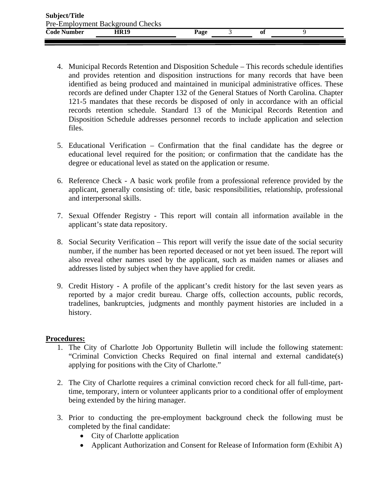- 4. Municipal Records Retention and Disposition Schedule This records schedule identifies and provides retention and disposition instructions for many records that have been identified as being produced and maintained in municipal administrative offices. These records are defined under Chapter 132 of the General Statues of North Carolina. Chapter 121-5 mandates that these records be disposed of only in accordance with an official records retention schedule. Standard 13 of the Municipal Records Retention and Disposition Schedule addresses personnel records to include application and selection files.
- 5. Educational Verification Confirmation that the final candidate has the degree or educational level required for the position; or confirmation that the candidate has the degree or educational level as stated on the application or resume.
- 6. Reference Check A basic work profile from a professional reference provided by the applicant, generally consisting of: title, basic responsibilities, relationship, professional and interpersonal skills.
- 7. Sexual Offender Registry This report will contain all information available in the applicant's state data repository.
- 8. Social Security Verification This report will verify the issue date of the social security number, if the number has been reported deceased or not yet been issued. The report will also reveal other names used by the applicant, such as maiden names or aliases and addresses listed by subject when they have applied for credit.
- 9. Credit History A profile of the applicant's credit history for the last seven years as reported by a major credit bureau. Charge offs, collection accounts, public records, tradelines, bankruptcies, judgments and monthly payment histories are included in a history.

### **Procedures:**

- 1. The City of Charlotte Job Opportunity Bulletin will include the following statement: "Criminal Conviction Checks Required on final internal and external candidate(s) applying for positions with the City of Charlotte."
- 2. The City of Charlotte requires a criminal conviction record check for all full-time, parttime, temporary, intern or volunteer applicants prior to a conditional offer of employment being extended by the hiring manager.
- 3. Prior to conducting the pre-employment background check the following must be completed by the final candidate:
	- City of Charlotte application
	- Applicant Authorization and Consent for Release of Information form (Exhibit A)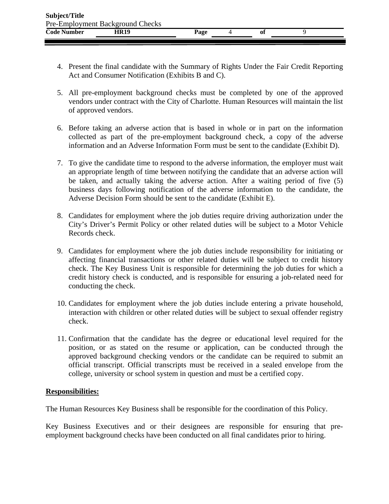| Subject/Title      |                                         |      |  |  |
|--------------------|-----------------------------------------|------|--|--|
|                    | <b>Pre-Employment Background Checks</b> |      |  |  |
| <b>Code Number</b> | HR 19                                   | Page |  |  |
|                    |                                         |      |  |  |

- 4. Present the final candidate with the Summary of Rights Under the Fair Credit Reporting Act and Consumer Notification (Exhibits B and C).
- 5. All pre-employment background checks must be completed by one of the approved vendors under contract with the City of Charlotte. Human Resources will maintain the list of approved vendors.
- 6. Before taking an adverse action that is based in whole or in part on the information collected as part of the pre-employment background check, a copy of the adverse information and an Adverse Information Form must be sent to the candidate (Exhibit D).
- 7. To give the candidate time to respond to the adverse information, the employer must wait an appropriate length of time between notifying the candidate that an adverse action will be taken, and actually taking the adverse action. After a waiting period of five (5) business days following notification of the adverse information to the candidate, the Adverse Decision Form should be sent to the candidate (Exhibit E).
- 8. Candidates for employment where the job duties require driving authorization under the City's Driver's Permit Policy or other related duties will be subject to a Motor Vehicle Records check.
- 9. Candidates for employment where the job duties include responsibility for initiating or affecting financial transactions or other related duties will be subject to credit history check. The Key Business Unit is responsible for determining the job duties for which a credit history check is conducted, and is responsible for ensuring a job-related need for conducting the check.
- 10. Candidates for employment where the job duties include entering a private household, interaction with children or other related duties will be subject to sexual offender registry check.
- 11. Confirmation that the candidate has the degree or educational level required for the position, or as stated on the resume or application, can be conducted through the approved background checking vendors or the candidate can be required to submit an official transcript. Official transcripts must be received in a sealed envelope from the college, university or school system in question and must be a certified copy.

#### **Responsibilities:**

The Human Resources Key Business shall be responsible for the coordination of this Policy.

Key Business Executives and or their designees are responsible for ensuring that preemployment background checks have been conducted on all final candidates prior to hiring.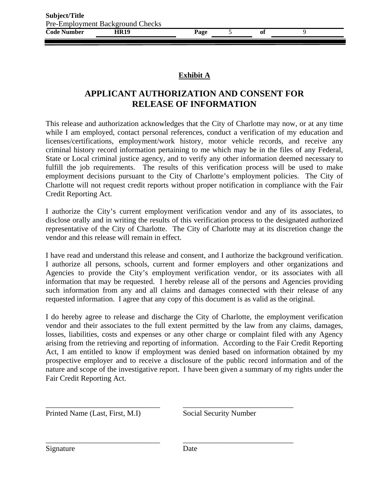# **Exhibit A**

# **APPLICANT AUTHORIZATION AND CONSENT FOR RELEASE OF INFORMATION**

This release and authorization acknowledges that the City of Charlotte may now, or at any time while I am employed, contact personal references, conduct a verification of my education and licenses/certifications, employment/work history, motor vehicle records, and receive any criminal history record information pertaining to me which may be in the files of any Federal, State or Local criminal justice agency, and to verify any other information deemed necessary to fulfill the job requirements. The results of this verification process will be used to make employment decisions pursuant to the City of Charlotte's employment policies. The City of Charlotte will not request credit reports without proper notification in compliance with the Fair Credit Reporting Act.

I authorize the City's current employment verification vendor and any of its associates, to disclose orally and in writing the results of this verification process to the designated authorized representative of the City of Charlotte. The City of Charlotte may at its discretion change the vendor and this release will remain in effect.

I have read and understand this release and consent, and I authorize the background verification. I authorize all persons, schools, current and former employers and other organizations and Agencies to provide the City's employment verification vendor, or its associates with all information that may be requested. I hereby release all of the persons and Agencies providing such information from any and all claims and damages connected with their release of any requested information. I agree that any copy of this document is as valid as the original.

I do hereby agree to release and discharge the City of Charlotte, the employment verification vendor and their associates to the full extent permitted by the law from any claims, damages, losses, liabilities, costs and expenses or any other charge or complaint filed with any Agency arising from the retrieving and reporting of information. According to the Fair Credit Reporting Act, I am entitled to know if employment was denied based on information obtained by my prospective employer and to receive a disclosure of the public record information and of the nature and scope of the investigative report. I have been given a summary of my rights under the Fair Credit Reporting Act.

Printed Name (Last, First, M.I) Social Security Number

Signature Date

\_\_\_\_\_\_\_\_\_\_\_\_\_\_\_\_\_\_\_\_\_\_\_\_\_\_\_\_\_\_ \_\_\_\_\_\_\_\_\_\_\_\_\_\_\_\_\_\_\_\_\_\_\_\_\_\_\_\_\_

\_\_\_\_\_\_\_\_\_\_\_\_\_\_\_\_\_\_\_\_\_\_\_\_\_\_\_\_\_\_ \_\_\_\_\_\_\_\_\_\_\_\_\_\_\_\_\_\_\_\_\_\_\_\_\_\_\_\_\_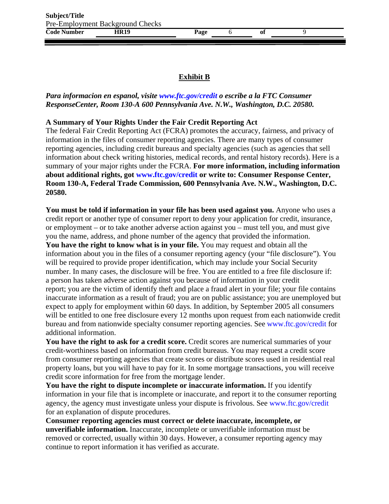| Subject/Title      |                                         |      |  |  |
|--------------------|-----------------------------------------|------|--|--|
|                    | <b>Pre-Employment Background Checks</b> |      |  |  |
| <b>Code Number</b> | AR 19                                   | Page |  |  |
|                    |                                         |      |  |  |

# **Exhibit B**

### *Para informacion en espanol, visite [www.ftc.gov/credit](http://www.ftc.gov/credit) o escribe a la FTC Consumer ResponseCenter, Room 130-A 600 Pennsylvania Ave. N.W., Washington, D.C. 20580.*

### **A Summary of Your Rights Under the Fair Credit Reporting Act**

20580. The federal Fair Credit Reporting Act (FCRA) promotes the accuracy, fairness, and privacy of information in the files of consumer reporting agencies. There are many types of consumer reporting agencies, including credit bureaus and specialty agencies (such as agencies that sell information about check writing histories, medical records, and rental history records). Here is a summary of your major rights under the FCRA. **For more information, including information about additional rights, got [www.ftc.gov/credit](http://www.ftc.gov/credit) or write to: Consumer Response Center, Room 130-A, Federal Trade Commission, 600 Pennsylvania Ave. N.W., Washington, D.C.** 

You must be told if information in your file has been used against you. Anyone who uses a credit report or another type of consumer report to deny your application for credit, insurance, or employment – or to take another adverse action against you – must tell you, and must give you the name, address, and phone number of the agency that provided the information.

**You have the right to know what is in your file.** You may request and obtain all the information about you in the files of a consumer reporting agency (your "file disclosure"). You will be required to provide proper identification, which may include your Social Security number. In many cases, the disclosure will be free. You are entitled to a free file disclosure if: a person has taken adverse action against you because of information in your credit report; you are the victim of identify theft and place a fraud alert in your file; your file contains inaccurate information as a result of fraud; you are on public assistance; you are unemployed but expect to apply for employment within 60 days. In addition, by September 2005 all consumers will be entitled to one free disclosure every 12 months upon request from each nationwide credit bureau and from nationwide specialty consumer reporting agencies. See [www.ftc.gov/credit](http://www.ftc.gov/credit) for additional information.

You have the right to ask for a credit score. Credit scores are numerical summaries of your credit-worthiness based on information from credit bureaus. You may request a credit score from consumer reporting agencies that create scores or distribute scores used in residential real property loans, but you will have to pay for it. In some mortgage transactions, you will receive credit score information for free from the mortgage lender.

**You have the right to dispute incomplete or inaccurate information.** If you identify information in your file that is incomplete or inaccurate, and report it to the consumer reporting agency, the agency must investigate unless your dispute is frivolous. See [www.ftc.gov/credit](http://www.ftc.gov/credit)  for an explanation of dispute procedures.

**Consumer reporting agencies must correct or delete inaccurate, incomplete, or unverifiable information.** Inaccurate, incomplete or unverifiable information must be removed or corrected, usually within 30 days. However, a consumer reporting agency may continue to report information it has verified as accurate.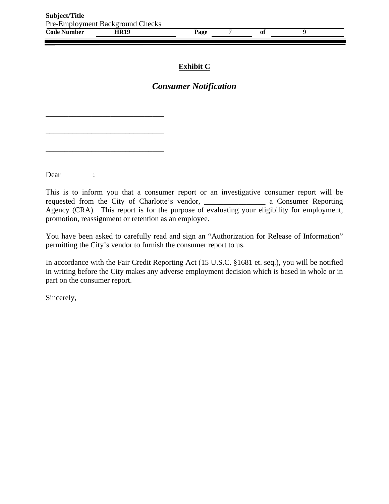# **Exhibit C**

# *Consumer Notification*

Dear :

\_\_\_\_\_\_\_\_\_\_\_\_\_\_\_\_\_\_\_\_\_\_\_\_\_\_\_\_\_\_\_

\_\_\_\_\_\_\_\_\_\_\_\_\_\_\_\_\_\_\_\_\_\_\_\_\_\_\_\_\_\_\_

\_\_\_\_\_\_\_\_\_\_\_\_\_\_\_\_\_\_\_\_\_\_\_\_\_\_\_\_\_\_\_

This is to inform you that a consumer report or an investigative consumer report will be requested from the City of Charlotte's vendor, \_\_\_\_\_\_\_\_\_\_\_\_\_\_\_\_ a Consumer Reporting Agency (CRA). This report is for the purpose of evaluating your eligibility for employment, promotion, reassignment or retention as an employee.

You have been asked to carefully read and sign an "Authorization for Release of Information" permitting the City's vendor to furnish the consumer report to us.

In accordance with the Fair Credit Reporting Act (15 U.S.C. §1681 et. seq.), you will be notified in writing before the City makes any adverse employment decision which is based in whole or in part on the consumer report.

Sincerely,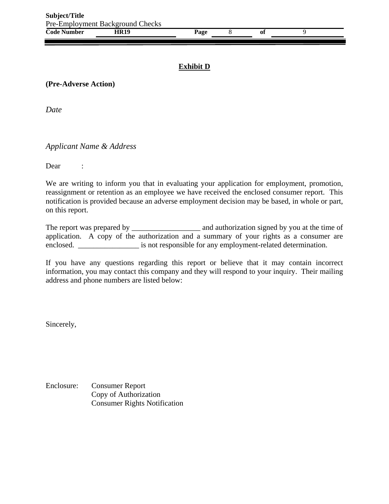## **Exhibit D**

**(Pre-Adverse Action)** 

*Date* 

### *Applicant Name & Address*

Dear :

We are writing to inform you that in evaluating your application for employment, promotion, reassignment or retention as an employee we have received the enclosed consumer report. This notification is provided because an adverse employment decision may be based, in whole or part, on this report.

The report was prepared by \_\_\_\_\_\_\_\_\_\_\_\_\_\_\_\_\_\_ and authorization signed by you at the time of application. A copy of the authorization and a summary of your rights as a consumer are enclosed. \_\_\_\_\_\_\_\_\_\_\_\_\_\_\_\_ is not responsible for any employment-related determination.

If you have any questions regarding this report or believe that it may contain incorrect information, you may contact this company and they will respond to your inquiry. Their mailing address and phone numbers are listed below:

Sincerely,

Enclosure: Consumer Report Copy of Authorization Consumer Rights Notification